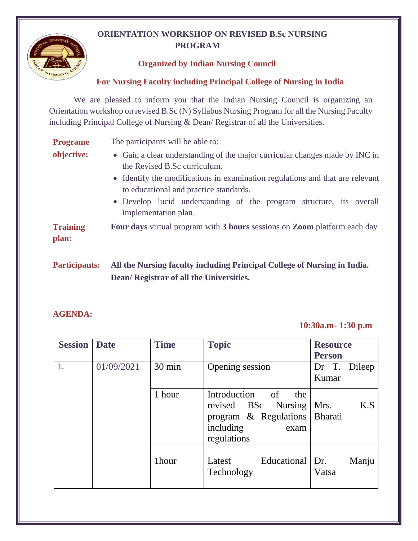# **ORIENTATION WORKSHOP ON REVISED B.Sc NURSING PROGRAM**



## **For Nursing Faculty including Principal College of Nursing in India**

We are pleased to inform you that the Indian Nursing Council is organizing an Orientation workshop on revised B.Sc (N) Syllabus Nursing Program for all the Nursing Faculty including Principal College of Nursing & Dean/ Registrar of all the Universities.

| <b>Programe</b> | The participants will be able to:                                                                                                                                                                                                                                                                             |
|-----------------|---------------------------------------------------------------------------------------------------------------------------------------------------------------------------------------------------------------------------------------------------------------------------------------------------------------|
| objective:      | • Gain a clear understanding of the major curricular changes made by INC in<br>the Revised B.Sc curriculum.<br>• Identify the modifications in examination regulations and that are relevant<br>to educational and practice standards.<br>• Develop lucid understanding of the program structure, its overall |
| <b>Training</b> | implementation plan.<br>Four days virtual program with 3 hours sessions on Zoom platform each day                                                                                                                                                                                                             |
| plan:           |                                                                                                                                                                                                                                                                                                               |

**Participants: All the Nursing faculty including Principal College of Nursing in India. Dean/ Registrar of all the Universities.**

### **AGENDA:**

### **10:30a.m- 1:30 p.m**

| <b>Session</b> | <b>Date</b>          | <b>Time</b> | <b>Topic</b>                                                                                                                         | <b>Resource</b><br><b>Person</b> |  |
|----------------|----------------------|-------------|--------------------------------------------------------------------------------------------------------------------------------------|----------------------------------|--|
|                | 01/09/2021<br>30 min |             | Opening session                                                                                                                      | Dr T. Dileep<br>Kumar            |  |
|                |                      | 1 hour      | Introduction<br>of<br>the<br><b>BSc</b><br>Nursing<br>revised<br>program & Regulations   Bharati<br>including<br>exam<br>regulations | K.S<br>Mrs.                      |  |
|                |                      | 1hour       | Educational   Dr.<br>Latest<br>Technology                                                                                            | Manju<br>Vatsa                   |  |

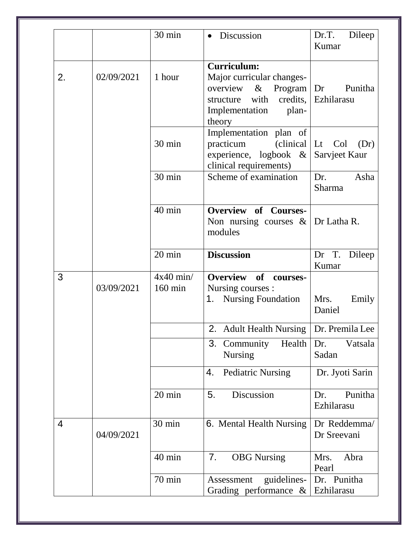|                |            | 30 min                           | Discussion<br>$\bullet$                                                                                                                       | Dr.T.<br>Dileep<br>Kumar                          |  |
|----------------|------------|----------------------------------|-----------------------------------------------------------------------------------------------------------------------------------------------|---------------------------------------------------|--|
| 2.             | 02/09/2021 | 1 hour                           | <b>Curriculum:</b><br>Major curricular changes-<br>overview $\&$<br>Program $\vert$ Dr<br>structure with<br>Implementation<br>plan-<br>theory | Punitha<br>credits, Ezhilarasu                    |  |
|                |            | 30 min                           | Implementation plan of<br>practicum<br>experience, logbook $\&$<br>clinical requirements)                                                     | $\text{clinical}$ Lt Col<br>(Dr)<br>Sarvjeet Kaur |  |
|                |            | 30 min                           | Scheme of examination                                                                                                                         | Dr.<br>Asha<br>Sharma                             |  |
|                |            | 40 min                           | Overview of Courses-<br>Non nursing courses $\&$ Dr Latha R.<br>modules                                                                       |                                                   |  |
|                |            | 20 min                           | <b>Discussion</b>                                                                                                                             | Dr T.<br>Dileep<br>Kumar                          |  |
| 3              | 03/09/2021 | $4x40$ min/<br>$160 \text{ min}$ | Overview of<br>courses-<br>Nursing courses :<br>1. Nursing Foundation                                                                         | Mrs.<br>Emily<br>Daniel                           |  |
|                |            |                                  | 2. Adult Health Nursing   Dr. Premila Lee                                                                                                     |                                                   |  |
|                |            |                                  | 3. Community<br>Health<br><b>Nursing</b>                                                                                                      | Vatsala<br>Dr.<br>Sadan                           |  |
|                |            |                                  | <b>Pediatric Nursing</b><br>4.                                                                                                                | Dr. Jyoti Sarin                                   |  |
|                |            | 20 min                           | 5.<br>Discussion                                                                                                                              | Punitha<br>Dr.<br>Ezhilarasu                      |  |
| $\overline{4}$ | 04/09/2021 | 30 min                           | 6. Mental Health Nursing                                                                                                                      | Dr Reddemma/<br>Dr Sreevani                       |  |
|                |            | 40 min                           | 7.<br><b>OBG</b> Nursing                                                                                                                      | Mrs.<br>Abra<br>Pearl                             |  |
|                |            | 70 min                           | guidelines-<br>Assessment<br>Grading performance $\&$                                                                                         | Dr. Punitha<br>Ezhilarasu                         |  |